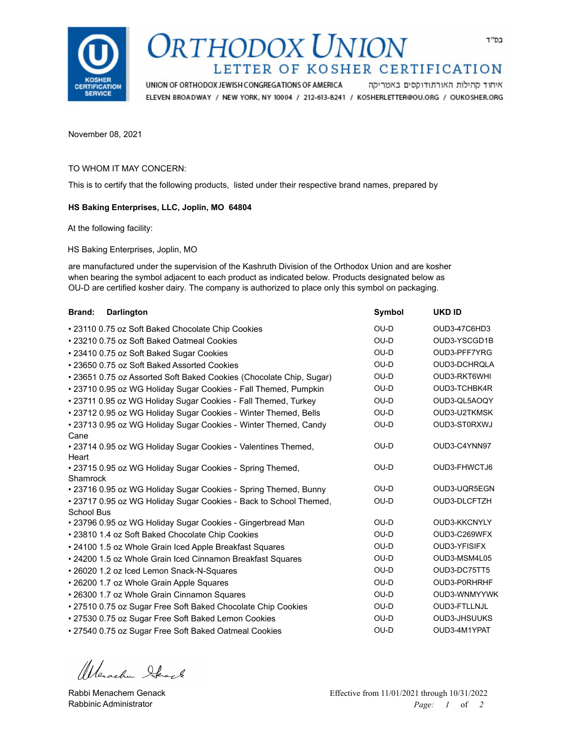

# RTHODOX UNION LETTER OF KOSHER CERTIFICATION

UNION OF ORTHODOX JEWISH CONGREGATIONS OF AMERICA איחוד קהילות האורתודוקסים באמריקה ELEVEN BROADWAY / NEW YORK, NY 10004 / 212-613-8241 / KOSHERLETTER@OU.ORG / OUKOSHER.ORG

November 08, 2021

#### TO WHOM IT MAY CONCERN:

This is to certify that the following products, listed under their respective brand names, prepared by

#### **HS Baking Enterprises, LLC, Joplin, MO 64804**

At the following facility:

HS Baking Enterprises, Joplin, MO

are manufactured under the supervision of the Kashruth Division of the Orthodox Union and are kosher when bearing the symbol adjacent to each product as indicated below. Products designated below as OU-D are certified kosher dairy. The company is authorized to place only this symbol on packaging.

| <b>Brand:</b>     | <b>Darlington</b>                                                   | <b>Symbol</b> | <b>UKD ID</b>       |
|-------------------|---------------------------------------------------------------------|---------------|---------------------|
|                   | • 23110 0.75 oz Soft Baked Chocolate Chip Cookies                   | OU-D          | OUD3-47C6HD3        |
|                   | • 23210 0.75 oz Soft Baked Oatmeal Cookies                          | OU-D          | OUD3-YSCGD1B        |
|                   | • 23410 0.75 oz Soft Baked Sugar Cookies                            | OU-D          | OUD3-PFF7YRG        |
|                   | • 23650 0.75 oz Soft Baked Assorted Cookies                         | OU-D          | OUD3-DCHRQLA        |
|                   | • 23651 0.75 oz Assorted Soft Baked Cookies (Chocolate Chip, Sugar) | OU-D          | OUD3-RKT6WHI        |
|                   | • 23710 0.95 oz WG Holiday Sugar Cookies - Fall Themed, Pumpkin     | OU-D          | OUD3-TCHBK4R        |
|                   | • 23711 0.95 oz WG Holiday Sugar Cookies - Fall Themed, Turkey      | OU-D          | OUD3-QL5AOQY        |
|                   | • 23712 0.95 oz WG Holiday Sugar Cookies - Winter Themed, Bells     | OU-D          | OUD3-U2TKMSK        |
|                   | • 23713 0.95 oz WG Holiday Sugar Cookies - Winter Themed, Candy     | OU-D          | OUD3-ST0RXWJ        |
| Cane              |                                                                     |               |                     |
|                   | • 23714 0.95 oz WG Holiday Sugar Cookies - Valentines Themed,       | OU-D          | OUD3-C4YNN97        |
| Heart             |                                                                     |               |                     |
|                   | • 23715 0.95 oz WG Holiday Sugar Cookies - Spring Themed,           | OU-D          | OUD3-FHWCTJ6        |
| Shamrock          |                                                                     | OU-D          | OUD3-UQR5EGN        |
|                   | • 23716 0.95 oz WG Holiday Sugar Cookies - Spring Themed, Bunny     | OU-D          | OUD3-DLCFTZH        |
| <b>School Bus</b> | • 23717 0.95 oz WG Holiday Sugar Cookies - Back to School Themed,   |               |                     |
|                   | • 23796 0.95 oz WG Holiday Sugar Cookies - Gingerbread Man          | OU-D          | OUD3-KKCNYLY        |
|                   | • 23810 1.4 oz Soft Baked Chocolate Chip Cookies                    | OU-D          | OUD3-C269WFX        |
|                   | • 24100 1.5 oz Whole Grain Iced Apple Breakfast Squares             | OU-D          | OUD3-YFISIFX        |
|                   | • 24200 1.5 oz Whole Grain Iced Cinnamon Breakfast Squares          | OU-D          | OUD3-MSM4L05        |
|                   | • 26020 1.2 oz Iced Lemon Snack-N-Squares                           | OU-D          | OUD3-DC75TT5        |
|                   | • 26200 1.7 oz Whole Grain Apple Squares                            | OU-D          | OUD3-P0RHRHF        |
|                   | • 26300 1.7 oz Whole Grain Cinnamon Squares                         | OU-D          | OUD3-WNMYYWK        |
|                   | • 27510 0.75 oz Sugar Free Soft Baked Chocolate Chip Cookies        | OU-D          | OUD3-FTLLNJL        |
|                   | • 27530 0.75 oz Sugar Free Soft Baked Lemon Cookies                 | OU-D          | <b>OUD3-JHSUUKS</b> |
|                   | • 27540 0.75 oz Sugar Free Soft Baked Oatmeal Cookies               | OU-D          | OUD3-4M1YPAT        |

Wenachen Stack

Rabbi Menachem Genack Rabbinic Administrator